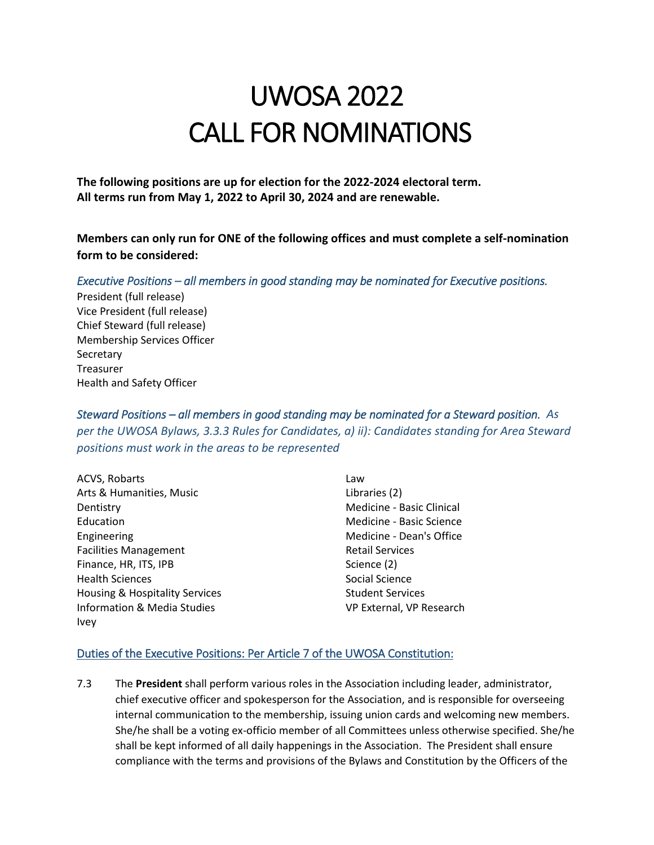## UWOSA 2022 CALL FOR NOMINATIONS

**The following positions are up for election for the 2022-2024 electoral term. All terms run from May 1, 2022 to April 30, 2024 and are renewable.**

**Members can only run for ONE of the following offices and must complete a self-nomination form to be considered:**

## *Executive Positions – all members in good standing may be nominated for Executive positions.*

President (full release) Vice President (full release) Chief Steward (full release) Membership Services Officer **Secretary** Treasurer Health and Safety Officer

*Steward Positions – all members in good standing may be nominated for a Steward position. As per the UWOSA Bylaws, 3.3.3 Rules for Candidates, a) ii): Candidates standing for Area Steward positions must work in the areas to be represented*

| ACVS, Robarts                          | Law                       |
|----------------------------------------|---------------------------|
| Arts & Humanities, Music               | Libraries (2)             |
| Dentistry                              | Medicine - Basic Clinical |
| Education                              | Medicine - Basic Science  |
| Engineering                            | Medicine - Dean's Office  |
| <b>Facilities Management</b>           | <b>Retail Services</b>    |
| Finance, HR, ITS, IPB                  | Science (2)               |
| <b>Health Sciences</b>                 | Social Science            |
| Housing & Hospitality Services         | <b>Student Services</b>   |
| <b>Information &amp; Media Studies</b> | VP External, VP Research  |
| <b>Ivey</b>                            |                           |

## Duties of the Executive Positions: Per Article 7 of the UWOSA Constitution:

7.3 The **President** shall perform various roles in the Association including leader, administrator, chief executive officer and spokesperson for the Association, and is responsible for overseeing internal communication to the membership, issuing union cards and welcoming new members. She/he shall be a voting ex-officio member of all Committees unless otherwise specified. She/he shall be kept informed of all daily happenings in the Association. The President shall ensure compliance with the terms and provisions of the Bylaws and Constitution by the Officers of the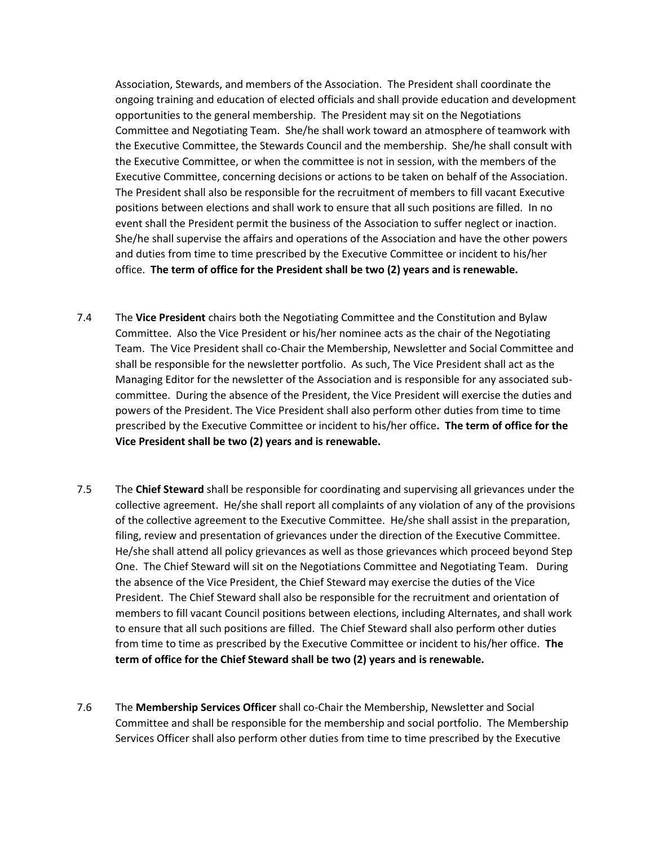Association, Stewards, and members of the Association. The President shall coordinate the ongoing training and education of elected officials and shall provide education and development opportunities to the general membership. The President may sit on the Negotiations Committee and Negotiating Team. She/he shall work toward an atmosphere of teamwork with the Executive Committee, the Stewards Council and the membership. She/he shall consult with the Executive Committee, or when the committee is not in session, with the members of the Executive Committee, concerning decisions or actions to be taken on behalf of the Association. The President shall also be responsible for the recruitment of members to fill vacant Executive positions between elections and shall work to ensure that all such positions are filled. In no event shall the President permit the business of the Association to suffer neglect or inaction. She/he shall supervise the affairs and operations of the Association and have the other powers and duties from time to time prescribed by the Executive Committee or incident to his/her office. **The term of office for the President shall be two (2) years and is renewable.**

- 7.4 The **Vice President** chairs both the Negotiating Committee and the Constitution and Bylaw Committee. Also the Vice President or his/her nominee acts as the chair of the Negotiating Team. The Vice President shall co-Chair the Membership, Newsletter and Social Committee and shall be responsible for the newsletter portfolio. As such, The Vice President shall act as the Managing Editor for the newsletter of the Association and is responsible for any associated subcommittee. During the absence of the President, the Vice President will exercise the duties and powers of the President. The Vice President shall also perform other duties from time to time prescribed by the Executive Committee or incident to his/her office**. The term of office for the Vice President shall be two (2) years and is renewable.**
- 7.5 The **Chief Steward** shall be responsible for coordinating and supervising all grievances under the collective agreement. He/she shall report all complaints of any violation of any of the provisions of the collective agreement to the Executive Committee. He/she shall assist in the preparation, filing, review and presentation of grievances under the direction of the Executive Committee. He/she shall attend all policy grievances as well as those grievances which proceed beyond Step One. The Chief Steward will sit on the Negotiations Committee and Negotiating Team. During the absence of the Vice President, the Chief Steward may exercise the duties of the Vice President. The Chief Steward shall also be responsible for the recruitment and orientation of members to fill vacant Council positions between elections, including Alternates, and shall work to ensure that all such positions are filled. The Chief Steward shall also perform other duties from time to time as prescribed by the Executive Committee or incident to his/her office. **The term of office for the Chief Steward shall be two (2) years and is renewable.**
- 7.6 The **Membership Services Officer** shall co-Chair the Membership, Newsletter and Social Committee and shall be responsible for the membership and social portfolio. The Membership Services Officer shall also perform other duties from time to time prescribed by the Executive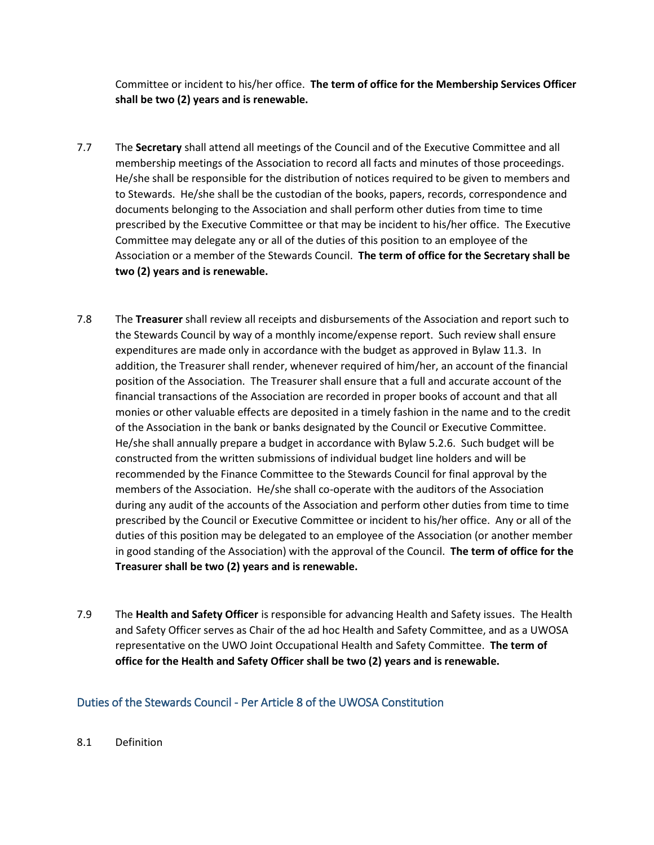Committee or incident to his/her office. **The term of office for the Membership Services Officer shall be two (2) years and is renewable.**

- 7.7 The **Secretary** shall attend all meetings of the Council and of the Executive Committee and all membership meetings of the Association to record all facts and minutes of those proceedings. He/she shall be responsible for the distribution of notices required to be given to members and to Stewards. He/she shall be the custodian of the books, papers, records, correspondence and documents belonging to the Association and shall perform other duties from time to time prescribed by the Executive Committee or that may be incident to his/her office. The Executive Committee may delegate any or all of the duties of this position to an employee of the Association or a member of the Stewards Council. **The term of office for the Secretary shall be two (2) years and is renewable.**
- 7.8 The **Treasurer** shall review all receipts and disbursements of the Association and report such to the Stewards Council by way of a monthly income/expense report. Such review shall ensure expenditures are made only in accordance with the budget as approved in Bylaw 11.3. In addition, the Treasurer shall render, whenever required of him/her, an account of the financial position of the Association. The Treasurer shall ensure that a full and accurate account of the financial transactions of the Association are recorded in proper books of account and that all monies or other valuable effects are deposited in a timely fashion in the name and to the credit of the Association in the bank or banks designated by the Council or Executive Committee. He/she shall annually prepare a budget in accordance with Bylaw 5.2.6. Such budget will be constructed from the written submissions of individual budget line holders and will be recommended by the Finance Committee to the Stewards Council for final approval by the members of the Association. He/she shall co-operate with the auditors of the Association during any audit of the accounts of the Association and perform other duties from time to time prescribed by the Council or Executive Committee or incident to his/her office. Any or all of the duties of this position may be delegated to an employee of the Association (or another member in good standing of the Association) with the approval of the Council. **The term of office for the Treasurer shall be two (2) years and is renewable.**
- 7.9 The **Health and Safety Officer** is responsible for advancing Health and Safety issues. The Health and Safety Officer serves as Chair of the ad hoc Health and Safety Committee, and as a UWOSA representative on the UWO Joint Occupational Health and Safety Committee. **The term of office for the Health and Safety Officer shall be two (2) years and is renewable.**

## Duties of the Stewards Council - Per Article 8 of the UWOSA Constitution

8.1 Definition